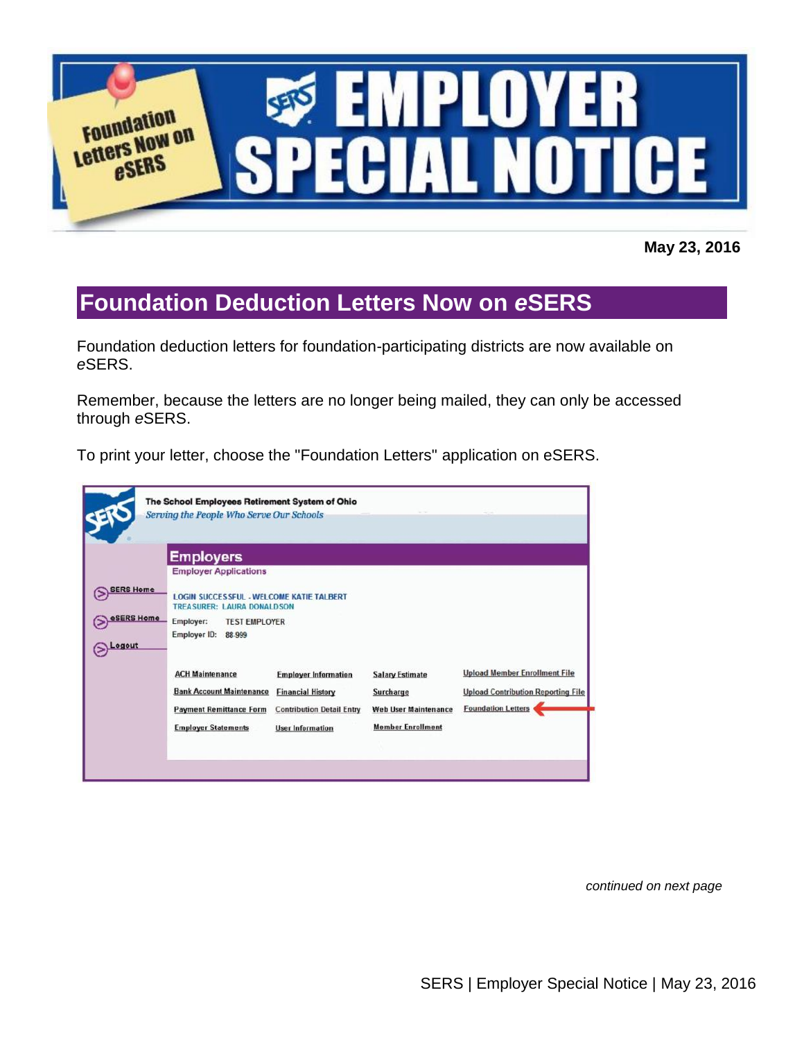

**May 23, 2016**

## **Foundation Deduction Letters Now on** *e***SERS**

Foundation deduction letters for foundation-participating districts are now available on *e*SERS.

Remember, because the letters are no longer being mailed, they can only be accessed through *e*SERS.

To print your letter, choose the "Foundation Letters" application on eSERS.

|                                          | The School Employees Retirement System of Ohio<br>Serving the People Who Serve Our Schools                                                       |                                                                                                                        |                                                                                                       |                                                                                                                |
|------------------------------------------|--------------------------------------------------------------------------------------------------------------------------------------------------|------------------------------------------------------------------------------------------------------------------------|-------------------------------------------------------------------------------------------------------|----------------------------------------------------------------------------------------------------------------|
|                                          | <b>Employers</b><br><b>Employer Applications</b>                                                                                                 |                                                                                                                        |                                                                                                       |                                                                                                                |
| <b>SERS Home</b><br>eSERS Home<br>Logout | <b>LOGIN SUCCESSFUL - WELCOME KATIE TALBERT</b><br><b>TREASURER: LAURA DONALDSON</b><br>Employer:<br><b>TEST EMPLOYER</b><br>Employer ID: 88-999 |                                                                                                                        |                                                                                                       |                                                                                                                |
|                                          | <b>ACH Maintenance</b><br><b>Bank Account Maintenance</b><br><b>Payment Remittance Form</b><br><b>Employer Statements</b>                        | <b>Employer Information</b><br><b>Financial History</b><br><b>Contribution Detail Entry</b><br><b>User Information</b> | <b>Salary Estimate</b><br><b>Surcharge</b><br><b>Web User Maintenance</b><br><b>Member Enrollment</b> | <b>Upload Member Enrollment File</b><br><b>Upload Contribution Reporting File</b><br><b>Foundation Letters</b> |

*continued on next page*